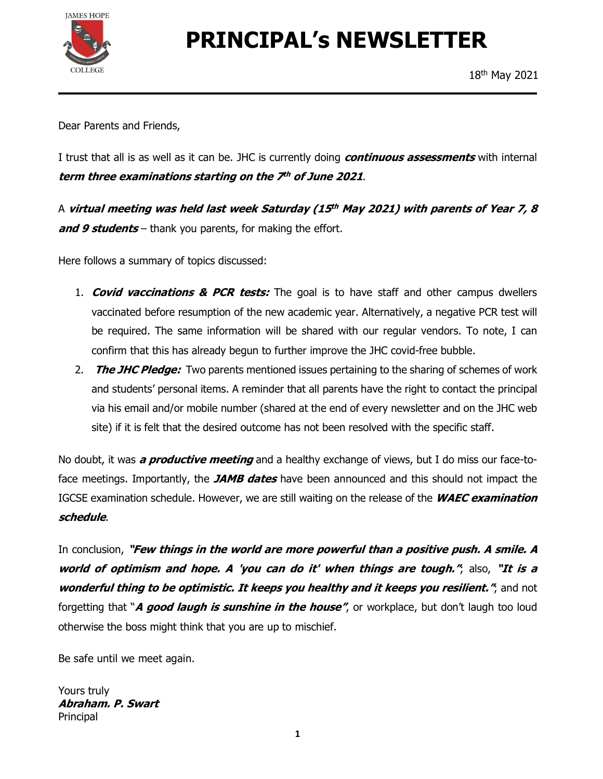

# PRINCIPAL's NEWSLETTER

Dear Parents and Friends,

I trust that all is as well as it can be. JHC is currently doing *continuous assessments* with internal

term three examinations starting on the 7<sup>th</sup> of June 2021.<br>A virtual meeting was held last week Saturday (15<sup>th</sup> May 2021) with parents of Year 7, 8 and 9 students – thank you parents, for making the effort.

Here follows a summary of topics discussed:

- 1. **Covid vaccinations & PCR tests:** The goal is to have staff and other campus dwellers vaccinated before resumption of the new academic year. Alternatively, a negative PCR test will be required. The same information will be shared with our regular vendors. To note, I can confirm that this has already begun to further improve the JHC covid-free bubble.
- 2. The JHC Pledge: Two parents mentioned issues pertaining to the sharing of schemes of work and students' personal items. A reminder that all parents have the right to contact the principal via his email and/or mobile number (shared at the end of every newsletter and on the JHC web site) if it is felt that the desired outcome has not been resolved with the specific staff.

No doubt, it was *a productive meeting* and a healthy exchange of views, but I do miss our face-toface meetings. Importantly, the JAMB dates have been announced and this should not impact the IGCSE examination schedule. However, we are still waiting on the release of the WAEC examination

*schedule.*<br>In conclusion, "**Few things in the world are more powerful than a positive push. A smile. A** world of optimism and hope. A 'you can do it' when things are tough.", also, "It is a wonderful thing to be optimistic. It keeps you healthy and it keeps you resilient.", and not forgetting that "A good laugh is sunshine in the house", or workplace, but don't laugh too loud otherwise the boss might think that you are up to mischief.

Be safe until we meet again.

Yours truly Abraham. P. Swart Principal